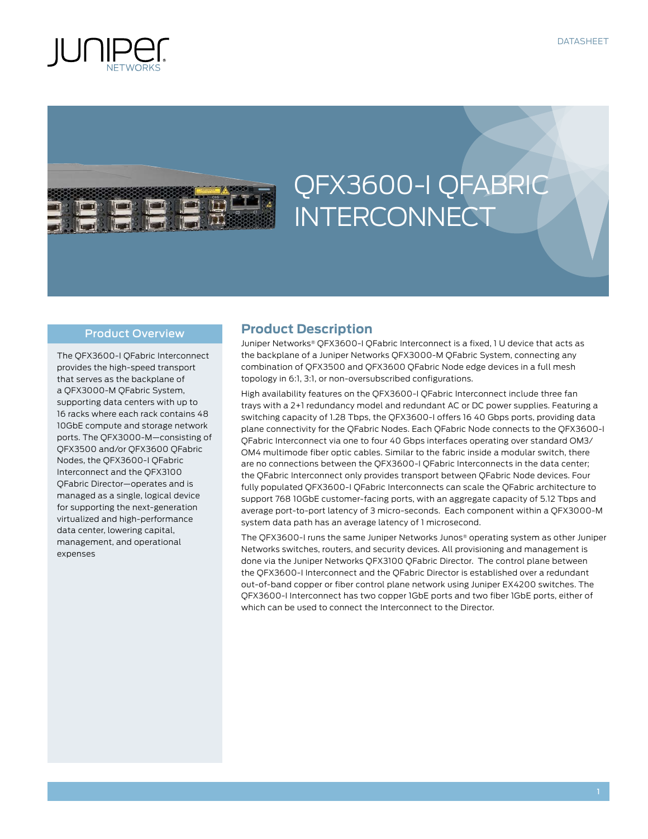



# QFX3600-I QFabric **INTERCONNECT**

### Product Overview

The QFX3600-I QFabric Interconnect provides the high-speed transport that serves as the backplane of a QFX3000-M QFabric System, supporting data centers with up to 16 racks where each rack contains 48 10GbE compute and storage network ports. The QFX3000-M—consisting of QFX3500 and/or QFX3600 QFabric Nodes, the QFX3600-I QFabric Interconnect and the QFX3100 QFabric Director—operates and is managed as a single, logical device for supporting the next-generation virtualized and high-performance data center, lowering capital, management, and operational expenses

## **Product Description**

Juniper Networks® QFX3600-I QFabric Interconnect is a fixed, 1 U device that acts as the backplane of a Juniper Networks QFX3000-M QFabric System, connecting any combination of QFX3500 and QFX3600 QFabric Node edge devices in a full mesh topology in 6:1, 3:1, or non-oversubscribed configurations.

High availability features on the QFX3600-I QFabric Interconnect include three fan trays with a 2+1 redundancy model and redundant AC or DC power supplies. Featuring a switching capacity of 1.28 Tbps, the QFX3600-I offers 16 40 Gbps ports, providing data plane connectivity for the QFabric Nodes. Each QFabric Node connects to the QFX3600-I QFabric Interconnect via one to four 40 Gbps interfaces operating over standard OM3/ OM4 multimode fiber optic cables. Similar to the fabric inside a modular switch, there are no connections between the QFX3600-I QFabric Interconnects in the data center; the QFabric Interconnect only provides transport between QFabric Node devices. Four fully populated QFX3600-I QFabric Interconnects can scale the QFabric architecture to support 768 10GbE customer-facing ports, with an aggregate capacity of 5.12 Tbps and average port-to-port latency of 3 micro-seconds. Each component within a QFX3000-M system data path has an average latency of 1 microsecond.

The QFX3600-I runs the same Juniper Networks Junos® operating system as other Juniper Networks switches, routers, and security devices. All provisioning and management is done via the Juniper Networks QFX3100 QFabric Director. The control plane between the QFX3600-I Interconnect and the QFabric Director is established over a redundant out-of-band copper or fiber control plane network using Juniper EX4200 switches. The QFX3600-I Interconnect has two copper 1GbE ports and two fiber 1GbE ports, either of which can be used to connect the Interconnect to the Director.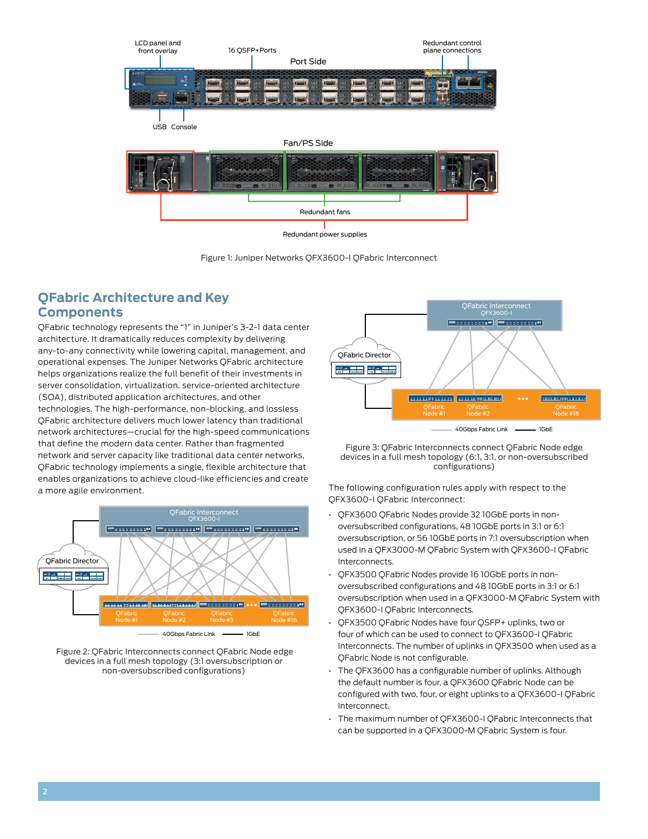

Figure 1: Juniper Networks QFX3600-I QFabric Interconnect

# **QFabric Architecture and Key Components**

QFabric technology represents the "1" in Juniper's 3-2-1 data center architecture. It dramatically reduces complexity by delivering any-to-any connectivity while lowering capital, management, and operational expenses. The Juniper Networks QFabric architecture helps organizations realize the full benefit of their investments in server consolidation, virtualization, service-oriented architecture (SOA), distributed application architectures, and other technologies. The high-performance, non-blocking, and lossless QFabric architecture delivers much lower latency than traditional network architectures—crucial for the high-speed communications that define the modern data center. Rather than fragmented network and server capacity like traditional data center networks, QFabric technology implements a single, flexible architecture that enables organizations to achieve cloud-like efficiencies and create a more agile environment.







Figure 3: QFabric Interconnects connect QFabric Node edge devices in a full mesh topology (6:1, 3:1, or non-oversubscribed configurations)

The following configuration rules apply with respect to the QFX3600-I QFabric Interconnect:

- OFX3600 OFabric Nodes provide 32 10GbE ports in nonoversubscribed configurations, 48 10GbE ports in 3:1 or 6:1 oversubscription, or 56 10GbE ports in 7:1 oversubscription when used in a QFX3000-M QFabric System with QFX3600-I QFabric Interconnects.
- QFX3500 QFabric Nodes provide 16 10GbE ports in nonoversubscribed configurations and 48 10GbE ports in 3:1 or 6:1 oversubscription when used in a QFX3000-M QFabric System with QFX3600-I QFabric Interconnects.
- QFX3500 QFabric Nodes have four QSFP+ uplinks, two or four of which can be used to connect to QFX3600-I QFabric Interconnects. The number of uplinks in QFX3500 when used as a QFabric Node is not configurable.
- The QFX3600 has a configurable number of uplinks. Although the default number is four, a QFX3600 QFabric Node can be configured with two, four, or eight uplinks to a QFX3600-I QFabric Interconnect.
- • The maximum number of QFX3600-I QFabric Interconnects that can be supported in a QFX3000-M QFabric System is four.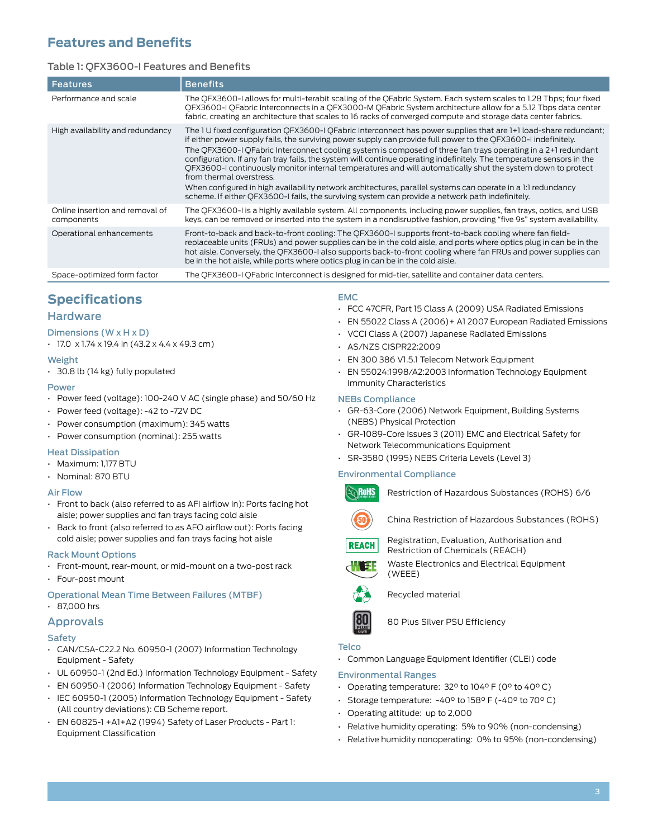# **Features and Benefits**

## Table 1: QFX3600-I Features and Benefits

| <b>Features</b>                               | <b>Benefits</b>                                                                                                                                                                                                                                                                                                                                                                                                                                                                                                                                                                                                                                                                                                                                                                                                                             |
|-----------------------------------------------|---------------------------------------------------------------------------------------------------------------------------------------------------------------------------------------------------------------------------------------------------------------------------------------------------------------------------------------------------------------------------------------------------------------------------------------------------------------------------------------------------------------------------------------------------------------------------------------------------------------------------------------------------------------------------------------------------------------------------------------------------------------------------------------------------------------------------------------------|
| Performance and scale                         | The QFX3600-I allows for multi-terabit scaling of the QFabric System. Each system scales to 1.28 Tbps; four fixed<br>QFX3600-I QFabric Interconnects in a QFX3000-M QFabric System architecture allow for a 5.12 Tbps data center<br>fabric, creating an architecture that scales to 16 racks of converged compute and storage data center fabrics.                                                                                                                                                                                                                                                                                                                                                                                                                                                                                         |
| High availability and redundancy              | The 1 U fixed configuration QFX3600-I QFabric Interconnect has power supplies that are 1+1 load-share redundant;<br>if either power supply fails, the surviving power supply can provide full power to the QFX3600-I indefinitely.<br>The OFX3600-I OFabric Interconnect cooling system is composed of three fan trays operating in a 2+1 redundant<br>configuration. If any fan tray fails, the system will continue operating indefinitely. The temperature sensors in the<br>OFX3600-I continuously monitor internal temperatures and will automatically shut the system down to protect<br>from thermal overstress.<br>When configured in high availability network architectures, parallel systems can operate in a 1:1 redundancy<br>scheme. If either QFX3600-I fails, the surviving system can provide a network path indefinitely. |
| Online insertion and removal of<br>components | The QFX3600-I is a highly available system. All components, including power supplies, fan trays, optics, and USB<br>keys, can be removed or inserted into the system in a nondisruptive fashion, providing "five 9s" system availability.                                                                                                                                                                                                                                                                                                                                                                                                                                                                                                                                                                                                   |
| Operational enhancements                      | Front-to-back and back-to-front cooling: The OFX3600-I supports front-to-back cooling where fan field-<br>replaceable units (FRUs) and power supplies can be in the cold aisle, and ports where optics plug in can be in the<br>hot aisle. Conversely, the OFX3600-I also supports back-to-front cooling where fan FRUs and power supplies can<br>be in the hot aisle, while ports where optics plug in can be in the cold aisle.                                                                                                                                                                                                                                                                                                                                                                                                           |
| Space-optimized form factor                   | The QFX3600-I QFabric Interconnect is designed for mid-tier, satellite and container data centers.                                                                                                                                                                                                                                                                                                                                                                                                                                                                                                                                                                                                                                                                                                                                          |

# **Specifications**

## **Hardware**

Dimensions (W x H x D)

 $\cdot$  17.0 x 1.74 x 19.4 in (43.2 x 4.4 x 49.3 cm)

#### Weight

• 30.8 lb (14 kg) fully populated

#### Power

- • Power feed (voltage): 100-240 V AC (single phase) and 50/60 Hz
- • Power feed (voltage): -42 to -72V DC
- • Power consumption (maximum): 345 watts
- • Power consumption (nominal): 255 watts

#### Heat Dissipation

- • Maximum: 1,177 BTU
- • Nominal: 870 BTU

#### Air Flow

- $\cdot$  Front to back (also referred to as AFI airflow in): Ports facing hot aisle; power supplies and fan trays facing cold aisle
- Back to front (also referred to as AFO airflow out): Ports facing cold aisle; power supplies and fan trays facing hot aisle

#### Rack Mount Options

- • Front-mount, rear-mount, or mid-mount on a two-post rack
- • Four-post mount

#### Operational Mean Time Between Failures (MTBF)

• 87,000 hrs

#### Approvals

#### **Safety**

- • CAN/CSA-C22.2 No. 60950-1 (2007) Information Technology Equipment - Safety
- UL 60950-1 (2nd Ed.) Information Technology Equipment Safety
- EN 60950-1 (2006) Information Technology Equipment Safety
- · IEC 60950-1 (2005) Information Technology Equipment Safety (All country deviations): CB Scheme report.
- • EN 60825-1 +A1+A2 (1994) Safety of Laser Products Part 1: Equipment Classification

#### EMC

- • FCC 47CFR, Part 15 Class A (2009) USA Radiated Emissions
- • EN 55022 Class A (2006)+ A1 2007 European Radiated Emissions
- • VCCI Class A (2007) Japanese Radiated Emissions
- • AS/NZS CISPR22:2009
- • EN 300 386 V1.5.1 Telecom Network Equipment
- • EN 55024:1998/A2:2003 Information Technology Equipment Immunity Characteristics

#### NEBs Compliance

- • GR-63-Core (2006) Network Equipment, Building Systems (NEBS) Physical Protection
- • GR-1089-Core Issues 3 (2011) EMC and Electrical Safety for Network Telecommunications Equipment
- • SR-3580 (1995) NEBS Criteria Levels (Level 3)

#### Environmental Compliance



Restriction of Hazardous Substances (ROHS) 6/6



China Restriction of Hazardous Substances (ROHS)

**REACH** 

Registration, Evaluation, Authorisation and Restriction of Chemicals (REACH)



Waste Electronics and Electrical Equipment (WEEE)



Recycled material



80 Plus Silver PSU Efficiency

#### Telco

• Common Language Equipment Identifier (CLEI) code

#### Environmental Ranges

- • Operating temperature: 32° to 104° F (0° to 40° C)
- • Storage temperature: -40° to 158° F (-40° to 70° C)
- • Operating altitude: up to 2,000
- • Relative humidity operating: 5% to 90% (non-condensing)
- • Relative humidity nonoperating: 0% to 95% (non-condensing)